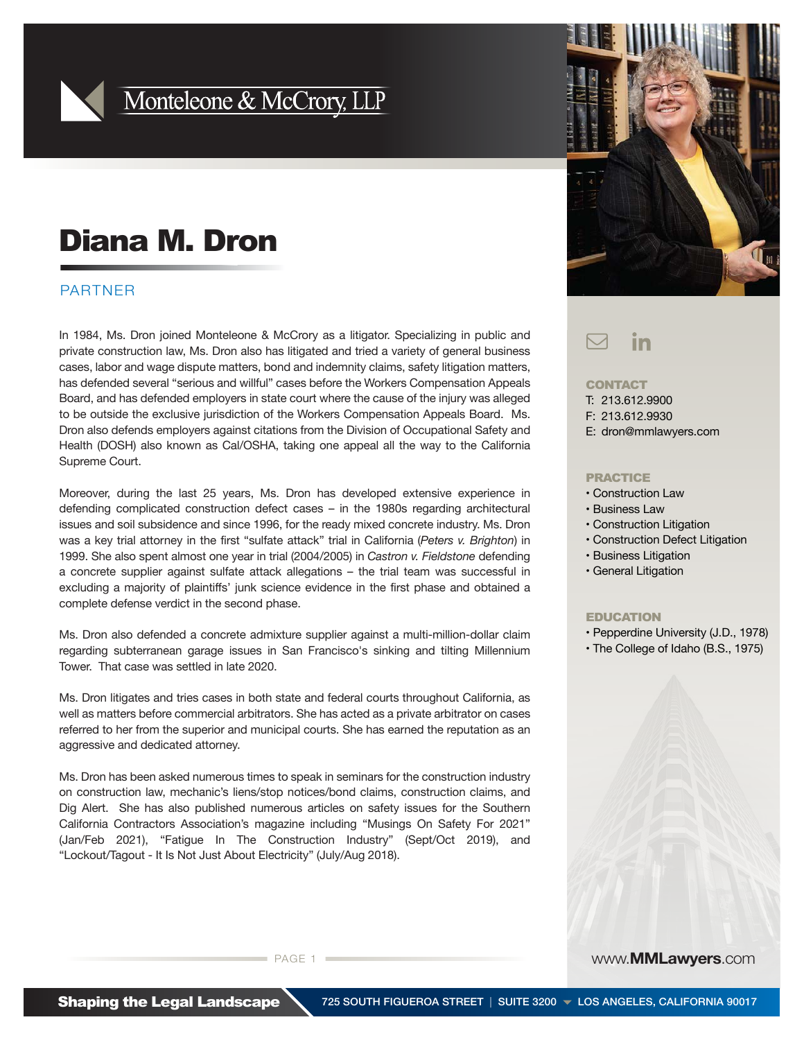

## Monteleone & McCrory, LLP

# Diana M. Dron

### PARTNER

In 1984, Ms. Dron joined Monteleone & McCrory as a litigator. Specializing in public and private construction law, Ms. Dron also has litigated and tried a variety of general business cases, labor and wage dispute matters, bond and indemnity claims, safety litigation matters, has defended several "serious and willful" cases before the Workers Compensation Appeals Board, and has defended employers in state court where the cause of the injury was alleged to be outside the exclusive jurisdiction of the Workers Compensation Appeals Board. Ms. Dron also defends employers against citations from the Division of Occupational Safety and Health (DOSH) also known as Cal/OSHA, taking one appeal all the way to the California Supreme Court.

Moreover, during the last 25 years, Ms. Dron has developed extensive experience in defending complicated construction defect cases – in the 1980s regarding architectural issues and soil subsidence and since 1996, for the ready mixed concrete industry. Ms. Dron was a key trial attorney in the first "sulfate attack" trial in California (*Peters v. Brighton*) in 1999. She also spent almost one year in trial (2004/2005) in *Castron v. Fieldstone* defending a concrete supplier against sulfate attack allegations – the trial team was successful in excluding a majority of plaintiffs' junk science evidence in the first phase and obtained a complete defense verdict in the second phase.

Ms. Dron also defended a concrete admixture supplier against a multi-million-dollar claim regarding subterranean garage issues in San Francisco's sinking and tilting Millennium Tower. That case was settled in late 2020.

Ms. Dron litigates and tries cases in both state and federal courts throughout California, as well as matters before commercial arbitrators. She has acted as a private arbitrator on cases referred to her from the superior and municipal courts. She has earned the reputation as an aggressive and dedicated attorney.

Ms. Dron has been asked numerous times to speak in seminars for the construction industry on construction law, mechanic's liens/stop notices/bond claims, construction claims, and Dig Alert. She has also published numerous articles on safety issues for the Southern California Contractors Association's magazine including "Musings On Safety For 2021" (Jan/Feb 2021), "Fatigue In The Construction Industry" (Sept/Oct 2019), and "Lockout/Tagout - It Is Not Just About Electricity" (July/Aug 2018).

PAGE 1 www.**MMLawyers**.com



#### $\bigtriangledown$ in

#### **CONTACT**

T: 213.612.9900 F: 213.612.9930 E: dron@mmlawyers.com

#### PRACTICE

- Construction Law
- Business Law
- Construction Litigation
- Construction Defect Litigation
- Business Litigation
- General Litigation

#### EDUCATION

- Pepperdine University (J.D., 1978)
- The College of Idaho (B.S., 1975)